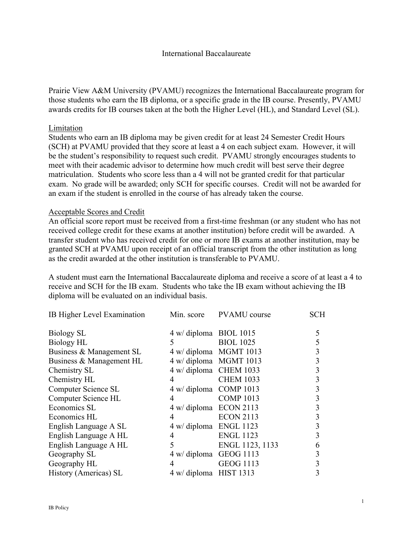Prairie View A&M University (PVAMU) recognizes the International Baccalaureate program for those students who earn the IB diploma, or a specific grade in the IB course. Presently, PVAMU awards credits for IB courses taken at the both the Higher Level (HL), and Standard Level (SL).

## Limitation

Students who earn an IB diploma may be given credit for at least 24 Semester Credit Hours (SCH) at PVAMU provided that they score at least a 4 on each subject exam. However, it will be the student's responsibility to request such credit. PVAMU strongly encourages students to meet with their academic advisor to determine how much credit will best serve their degree matriculation. Students who score less than a 4 will not be granted credit for that particular exam. No grade will be awarded; only SCH for specific courses. Credit will not be awarded for an exam if the student is enrolled in the course of has already taken the course.

## Acceptable Scores and Credit

An official score report must be received from a first-time freshman (or any student who has not received college credit for these exams at another institution) before credit will be awarded. A transfer student who has received credit for one or more IB exams at another institution, may be granted SCH at PVAMU upon receipt of an official transcript from the other institution as long as the credit awarded at the other institution is transferable to PVAMU.

A student must earn the International Baccalaureate diploma and receive a score of at least a 4 to receive and SCH for the IB exam. Students who take the IB exam without achieving the IB diploma will be evaluated on an individual basis.

| IB Higher Level Examination |                        | Min. score PVAMU course | <b>SCH</b> |
|-----------------------------|------------------------|-------------------------|------------|
| Biology SL                  | 4 w/ diploma BIOL 1015 |                         | 5          |
| <b>Biology HL</b>           | 5                      | <b>BIOL 1025</b>        | 5          |
| Business & Management SL    | 4 w/ diploma MGMT 1013 |                         | 3          |
| Business & Management HL    | 4 w/ diploma MGMT 1013 |                         | 3          |
| Chemistry SL                | 4 w/ diploma CHEM 1033 |                         | 3          |
| Chemistry HL                | 4                      | <b>CHEM 1033</b>        | 3          |
| Computer Science SL         | 4 w/ diploma COMP 1013 |                         | 3          |
| Computer Science HL         | 4                      | <b>COMP 1013</b>        | 3          |
| Economics SL                | 4 w/ diploma ECON 2113 |                         | 3          |
| Economics HL                | 4                      | <b>ECON 2113</b>        |            |
| English Language A SL       | 4 w/ diploma ENGL 1123 |                         | 3          |
| English Language A HL       | 4                      | <b>ENGL 1123</b>        | 3          |
| English Language A HL       | 5                      | ENGL 1123, 1133         | 6          |
| Geography SL                | 4 w/ diploma GEOG 1113 |                         | 3          |
| Geography HL                | 4                      | <b>GEOG 1113</b>        | 3          |
| History (Americas) SL       | 4 w/ diploma HIST 1313 |                         | 3          |